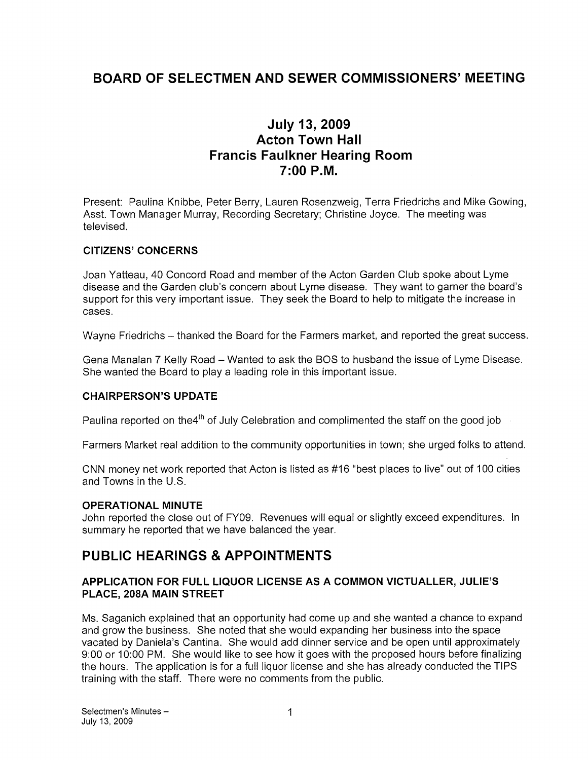# BOARD OF SELECTMEN AND SEWER COMMISSIONERS' MEETING

## July 13, 2009 Acton Town Hall Francis Faulkner Hearing Room 7:00 P.M.

Present: Paulina Knibbe, Peter Berry, Lauren Rosenzweig, Terra Friedrichs and Mike Gowing, Asst. Town Manager Murray, Recording Secretary; Christine Joyce. The meeting was televised.

#### CITIZENS' CONCERNS

Joan Yatteau, 40 Concord Road and member of the Acton Garden Club spoke about Lyme disease and the Garden club's concern about Lyme disease. They want to garner the board's support for this very important issue. They seek the Board to help to mitigate the increase in cases.

Wayne Friedrichs — thanked the Board for the Farmers market, and reported the great success.

Gena Manalan 7 Kelly Road — Wanted to ask the BOS to husband the issue of Lyme Disease. She wanted the Board to play a leading role in this important issue.

#### CHAIRPERSON'S UPDATE

Paulina reported on the4<sup>th</sup> of July Celebration and complimented the staff on the good job

Farmers Market real addition to the community opportunities in town; she urged folks to attend.

CNN money net work reported that Acton is listed as #16 "best places to live" out of 100 cities and Towns in the U.S.

#### OPERATIONAL MINUTE

John reported the close out of FY09. Revenues will equal or slightly exceed expenditures. In summary he reported that we have balanced the year.

## PUBLIC HEARINGS & APPOINTMENTS

#### APPLICATION FOR FULL LIQUOR LICENSE AS A COMMON VICTUALLER, JULIE'S PLACE, 208A MAIN STREET

Ms. Saganich explained that an opportunity had come up and she wanted a chance to expand and grow the business. She noted that she would expanding her business into the space vacated by Daniela's Cantina. She would add dinner service and be open until approximately 9:00 or 10:00 PM. She would like to see how it goes with the proposed hours before finalizing the hours. The application is for a full liquor license and she has already conducted the TIPS training with the staff. There were no comments from the public.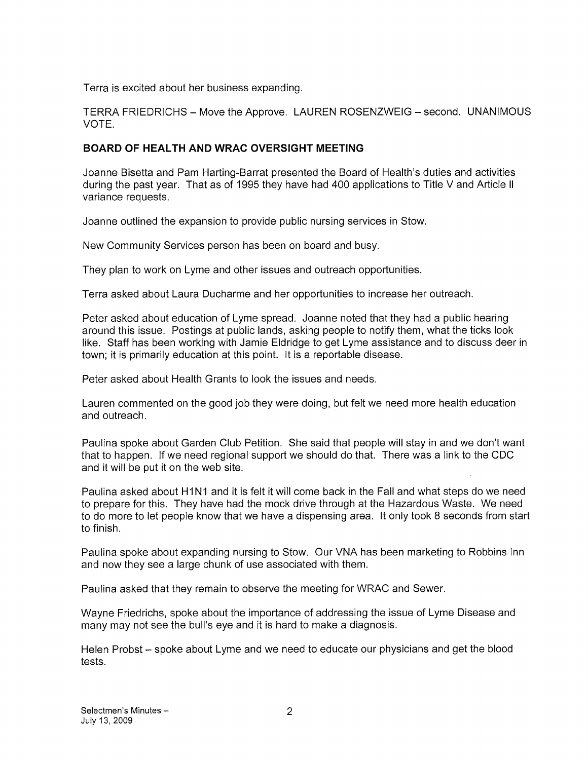Terra is excited about her business expanding.

TERRA FRIEDRICHS — Move the Approve. LAUREN ROSENZWEIG — second. UNANIMOUS VOTE.

### BOARD OF HEALTH AND WRAC OVERSIGHT MEETING

Joanne Bisetta and Pam Harting-Barrat presented the Board of Health's duties and activities during the past year. That as of 1995 they have had 400 applications to Title V and Article II variance requests.

Joanne outlined the expansion to provide public nursing services in Stow.

New Community Services person has been on board and busy.

They plan to work on Lyme and other issues and outreach opportunities.

Terra asked about Laura Ducharme and her opportunities to increase her outreach.

Peter asked about education of Lyme spread. Joanne noted that they had a public hearing around this issue. Postings at public lands, asking people to notify them, what the ticks look like. Staff has been working with Jamie Eldridge to get Lyme assistance and to discuss deer in town; it is primarily education at this point. It is a reportable disease.

Peter asked about Health Grants to look the issues and needs.

Lauren commented on the good job they were doing, but felt we need more health education and outreach.

Paulina spoke about Garden Club Petition. She said that people will stay in and we don't want that to happen. If we need regional support we should do that. There was a link to the CDC and it will be put it on the web site.

Paulina asked about H1N1 and it is felt it will come back in the Fall and what steps do we need to prepare for this. They have had the mock drive through at the Hazardous Waste. We need to do more to let people know that we have a dispensing area. It only took 8 seconds from start to finish.

Paulina spoke about expanding nursing to Stow, Our VNA has been marketing to Robbins Inn and now they see a large chunk of use associated with them.

Paulina asked that they remain to observe the meeting for WRAC and Sewer.

Wayne Friedrichs, spoke about the importance of addressing the issue of Lyme Disease and many may not see the bull's eye and it is hard to make a diagnosis.

Helen Probst — spoke about Lyme and we need to educate our physicians and get the blood tests.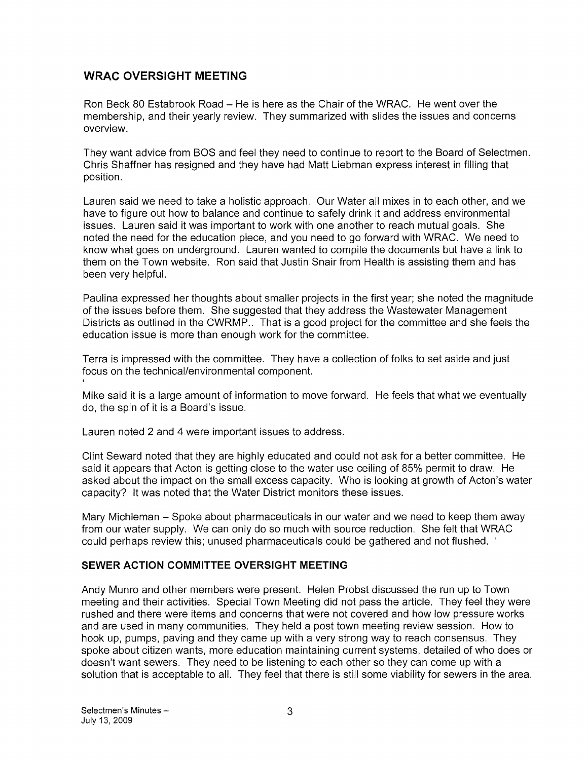## WRAC OVERSIGHT MEETING

Ron Beck 80 Estabrook Road — He is here as the Chair of the WRAC. He went over the membership, and their yearly review. They summarized with slides the issues and concerns overview.

They want advice from BOS and feel they need to continue to report to the Board of Selectmen. Chris Shaffner has resigned and they have had Matt Liebman express interest in filling that position.

Lauren said we need to take a holistic approach. Our Water all mixes in to each other, and we have to figure out how to balance and continue to safely drink it and address environmental issues. Lauren said it was important to work with one another to reach mutual goals. She noted the need for the education piece, and you need to go forward with WRAC. We need to know what goes on underground. Lauren wanted to compile the documents but have a link to them on the Town website. Ron said that Justin Snair from Health is assisting them and has been very helpful.

Paulina expressed her thoughts about smaller projects in the first year; she noted the magnitude of the issues before them. She suggested that they address the Wastewater Management Districts as outlined in the CWRMP., That is a good project for the committee and she feels the education issue is more than enough work for the committee.

Terra is impressed with the committee. They have a collection of folks to set aside and just focus on the technical/environmental component.

Mike said it is a large amount of information to move forward. He feels that what we eventually do, the spin of it is a Board's issue.

Lauren noted 2 and 4 were important issues to address.

Clint Seward noted that they are highly educated and could not ask for a better committee. He said it appears that Acton is getting close to the water use ceiling of 85% permit to draw. He asked about the impact on the small excess capacity. Who is looking at growth of Acton's water capacity? It was noted that the Water District monitors these issues.

Mary Michleman — Spoke about pharmaceuticals in our water and we need to keep them away from our water supply. We can only do so much with source reduction. She felt that WRAC could perhaps review this; unused pharmaceuticals could be gathered and not flushed.

## SEWER ACTION COMMITTEE OVERSIGHT MEETING

Andy Munro and other members were present. Helen Probst discussed the run up to Town meeting and their activities. Special Town Meeting did not pass the article. They feel they were rushed and there were items and concerns that were not covered and how low pressure works and are used in many communities. They held a post town meeting review session. How to hook up, pumps, paving and they came up with a very strong way to reach consensus. They spoke about citizen wants, more education maintaining current systems, detailed of who does or doesn't want sewers. They need to be listening to each other so they can come up with a solution that is acceptable to all. They feel that there is still some viability for sewers in the area.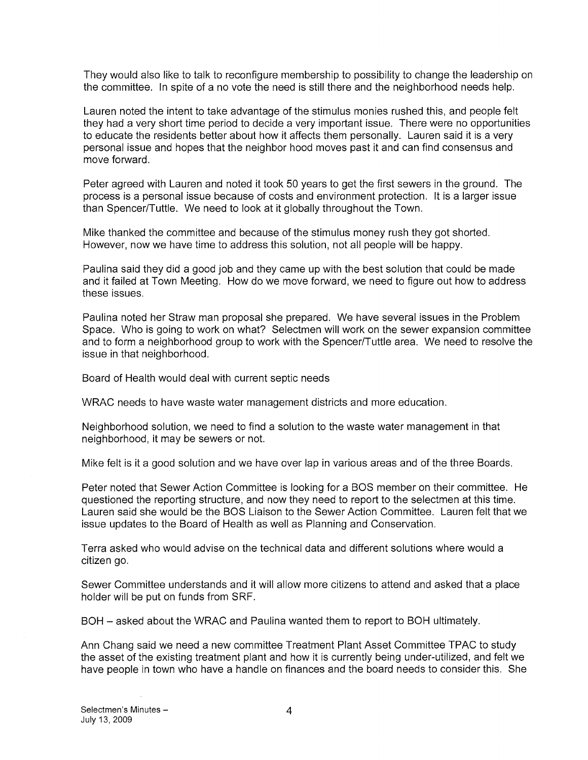They would also like to talk to reconfigure membership to possibility to change the leadership on the committee. In spite of a no vote the need is still there and the neighborhood needs help.

Lauren noted the intent to take advantage of the stimulus monies rushed this, and people felt they had a very short time period to decide a very important issue. There were no opportunities to educate the residents better about how it affects them personally. Lauren said it is a very personal issue and hopes that the neighbor hood moves past it and can find consensus and move forward.

Peter agreed with Lauren and noted it took 50 years to get the first sewers in the ground. The process is a personal issue because of costs and environment protection. It is a larger issue than Spencer/Tuttle. We need to look at it globally throughout the Town.

Mike thanked the committee and because of the stimulus money rush they got shorted. However, now we have time to address this solution, not all people will be happy.

Paulina said they did a good job and they came up with the best solution that could be made and it failed at Town Meeting. How do we move forward, we need to figure out how to address these issues.

Paulina noted her Straw man proposal she prepared. We have several issues in the Problem Space. Who is going to work on what? Selectmen will work on the sewer expansion committee and to form a neighborhood group to work with the Spencer/Tuttle area. We need to resolve the issue in that neighborhood.

Board of Health would deal with current septic needs

WRAC needs to have waste water management districts and more education.

Neighborhood solution, we need to find a solution to the waste water management in that neighborhood, it may be sewers or not.

Mike felt is it a good solution and we have over lap in various areas and of the three Boards.

Peter noted that Sewer Action Committee is looking for a BOS member on their committee. He questioned the reporting structure, and now they need to report to the selectmen at this time. Lauren said she would be the BOS Liaison to the Sewer Action Committee. Lauren felt that we issue updates to the Board of Health as well as Planning and Conservation.

Terra asked who would advise on the technical data and different solutions where would a citizen go.

Sewer Committee understands and it will allow more citizens to attend and asked that a place holder will be put on funds from SRF.

BOH — asked about the WRAC and Paulina wanted them to report to BOH ultimately.

Ann Chang said we need a new committee Treatment Plant Asset Committee TPAC to study the asset of the existing treatment plant and how it is currently being under-utilized, and felt we have people in town who have a handle on finances and the board needs to consider this. She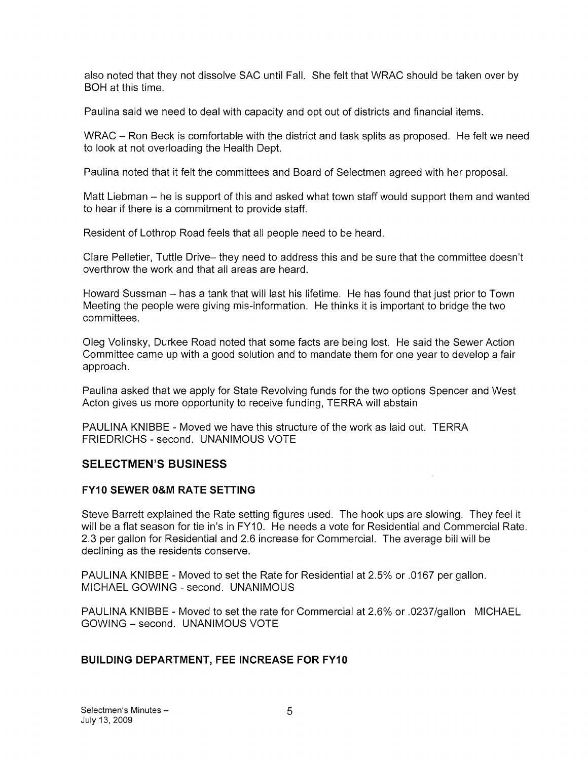also noted that they not dissolve SAC until Fall. She felt that WRAC should be taken over by BOH at this time.

Paulina said we need to deal with capacity and opt out of districts and financial items.

WRAC – Ron Beck is comfortable with the district and task splits as proposed. He felt we need to look at not overloading the Health Dept.

Paulina noted that it felt the committees and Board of Selectmen agreed with her proposal.

Matt Liebman — he is support of this and asked what town staff would support them and wanted to hear if there is a commitment to provide staff.

Resident of Lothrop Road feels that all people need to be heard.

Clare Pelletier, Tuttle Drive— they need to address this and be sure that the committee doesn't overthrow the work and that all areas are heard.

Howard Sussman — has a tank that will last his lifetime, He has found that just prior to Town Meeting the people were giving mis-information. He thinks it is important to bridge the two committees.

Oleg Volinsky, Durkee Road noted that some facts are being lost. He said the Sewer Action Committee came up with a good solution and to mandate them for one year to develop a fair approach.

Paulina asked that we apply for State Revolving funds for the two options Spencer and West Acton gives us more opportunity to receive funding, TERRA will abstain

PAULINA KNIBBE - Moved we have this structure of the work as laid out. TERRA FRIEDRICHS - second. UNANIMOUS VOTE

## SELECTMEN'S BUSINESS

#### FY10 SEWER 0&M RATE SETTING

Steve Barrett explained the Rate setting figures used. The hook ups are slowing. They feel it will be a flat season for tie in's in FY10. He needs a vote for Residential and Commercial Rate. 2.3 per gallon for Residential and 2.6 increase for Commercial. The average bill will be declining as the residents conserve.

 $\mathcal{L}^{\mathcal{L}}$ 

PAULINA KNIBBE - Moved to set the Rate for Residential at 2.5% or .0167 per gallon. MICHAEL GOWING - second. UNANIMOUS

PAULINA KNIBBE -Moved to set the rate for Commercial at 2.6% or .0237/gallon MICHAEL GOWING — second. UNANIMOUS VOTE

#### BUILDING DEPARTMENT, FEE INCREASE FOR FY10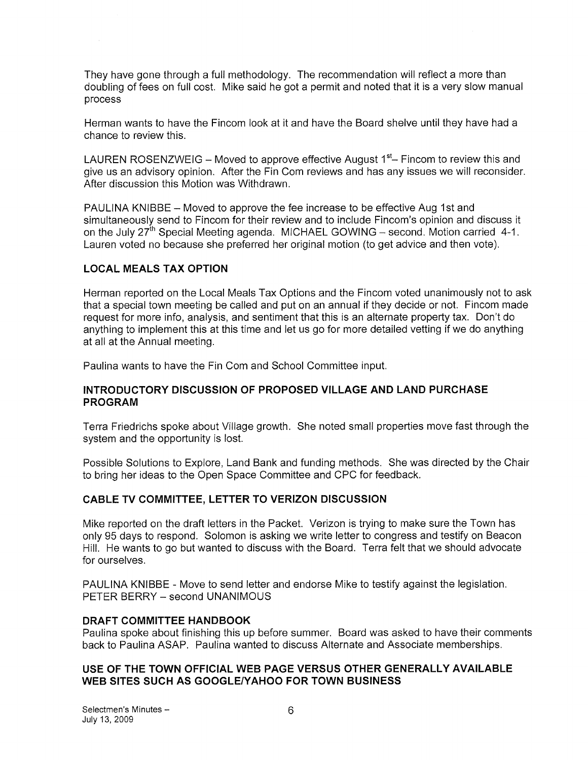They have gone through a full methodology. The recommendation will reflect a more than doubling of fees on full cost. Mike said he got a permit and noted that it is a very slow manual process

Herman wants to have the Fincom look at it and have the Board shelve until they have had a chance to review this.

LAUREN ROSENZWEIG – Moved to approve effective August  $1<sup>st</sup>$ – Fincom to review this and give us an advisory opinion. After the Fin Com reviews and has any issues we will reconsider. After discussion this Motion was Withdrawn.

PAULINA KNIBBE — Moved to approve the fee increase to be effective Aug 1st and simultaneously send to Fincom for their review and to include Fincom's opinion and discuss it on the July  $27<sup>th</sup>$  Special Meeting agenda. MICHAEL GOWING – second. Motion carried 4-1. Lauren voted no because she preferred her original motion (to get advice and then vote).

### LOCAL MEALS TAX OPTION

Herman reported on the Local Meals Tax Options and the Fincom voted unanimously not to ask that a special town meeting be called and put on an annual if they decide or not. Fincom made request for more info, analysis, and sentiment that this is an alternate property tax. Don't do anything to implement this at this time and let us go for more detailed vetting if we do anything at all at the Annual meeting.

Paulina wants to have the Fin Com and School Committee input.

#### INTRODUCTORY DISCUSSION OF PROPOSED VILLAGE AND LAND PURCHASE PROGRAM

Terra Friedrichs spoke about Village growth. She noted small properties move fast through the system and the opportunity is lost.

Possible Solutions to Explore, Land Bank and funding methods. She was directed by the Chair to bring her ideas to the Open Space Committee and CPC for feedback.

## CABLE TV COMMITTEE, LETTER TO VERIZON DISCUSSION

Mike reported on the draft letters in the Packet. Verizon is trying to make sure the Town has only 95 days to respond. Solomon is asking we write letter to congress and testify on Beacon Hill. He wants to go but wanted to discuss with the Board. Terra felt that we should advocate for ourselves.

PAULINA KNIBBE - Move to send letter and endorse Mike to testify against the legislation. PETER BERRY — second UNANIMOUS

#### DRAFT COMMITTEE HANDBOOK

Paulina spoke about finishing this up before summer. Board was asked to have their comments back to Paulina ASAP. Paulina wanted to discuss Alternate and Associate memberships.

#### USE OF THE TOWN OFFICIAL WEB PAGE VERSUS OTHER GENERALLY AVAILABLE WEB SITES SUCH AS GOOGLE/YAHOO FOR TOWN BUSINESS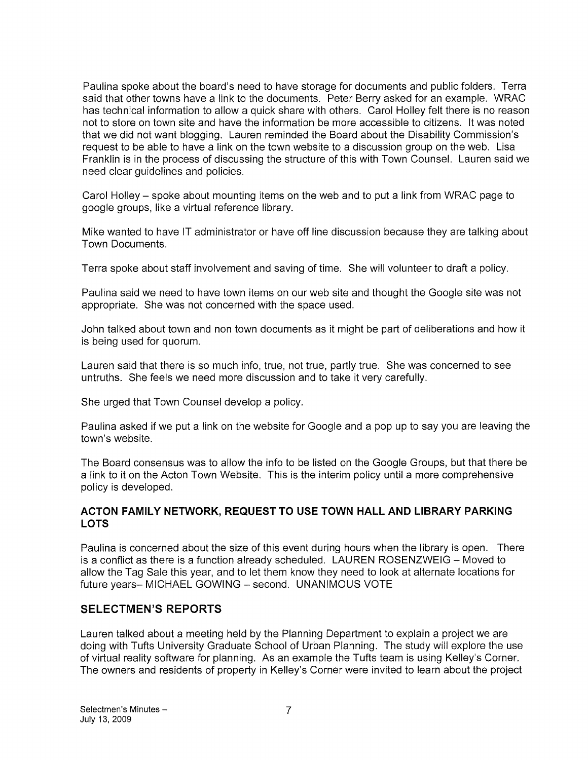Paulina spoke about the board's need to have storage for documents and public folders. Terra said that other towns have a link to the documents. Peter Berry asked for an example. WRAC has technical information to allow a quick share with others. Carol Holley felt there is no reason not to store on town site and have the information be more accessible to citizens. It was noted that we did not want blogging. Lauren reminded the Board about the Disability Commission's request to be able to have a link on the town website to a discussion group on the web. Lisa Franklin is in the process of discussing the structure of this with Town Counsel. Lauren said we need clear guidelines and policies.

Carol Holley — spoke about mounting items on the web and to put a link from WRAC page to google groups, like a virtual reference library.

Mike wanted to have IT administrator or have off line discussion because they are talking about Town Documents.

Terra spoke about staff involvement and saving of time. She will volunteer to draft a policy.

Paulina said we need to have town items on our web site and thought the Google site was not appropriate. She was not concerned with the space used.

John talked about town and non town documents as it might be part of deliberations and how it is being used for quorum.

Lauren said that there is so much info, true, not true, partly true. She was concerned to see untruths. She feels we need more discussion and to take it very carefully.

She urged that Town Counsel develop a policy.

Paulina asked if we put a link on the website for Google and a pop up to say you are leaving the town's website.

The Board consensus was to allow the info to be listed on the Google Groups, but that there be a link to it on the Acton Town Website. This is the interim policy until a more comprehensive policy is developed.

#### ACTON FAMILY NETWORK, REQUEST TO USE TOWN HALL AND LIBRARY PARKING LOTS

Paulina is concerned about the size of this event during hours when the library is open. There is a conflict as there is a function already scheduled. LAUREN ROSENZWEIG — Moved to allow the Tag Sale this year, and to let them know they need to look at alternate locations for future years— MICHAEL GOWING — second. UNANIMOUS VOTE

#### SELECTMEN'S REPORTS

Lauren talked about a meeting held by the Planning Department to explain a project we are doing with Tufts University Graduate School of Urban Planning. The study will explore the use of virtual reality software for planning. As an example the Tufts team is using Kelley's Corner. The owners and residents of property in Kelley's Corner were invited to learn about the project